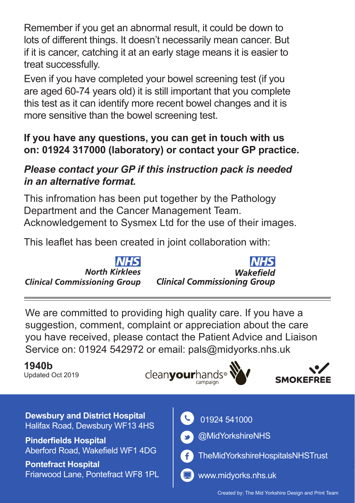Remember if you get an abnormal result, it could be down to lots of different things. It doesn't necessarily mean cancer. But if it is cancer, catching it at an early stage means it is easier to treat successfully.

Even if you have completed your bowel screening test (if you are aged 60-74 years old) it is still important that you complete this test as it can identify more recent bowel changes and it is more sensitive than the bowel screening test.

#### **If you have any questions, you can get in touch with us on: 01924 317000 (laboratory) or contact your GP practice.**

#### *Please contact your GP if this instruction pack is needed in an alternative format.*

This infromation has been put together by the Pathology Department and the Cancer Management Team. Acknowledgement to Sysmex Ltd for the use of their images.

This leaflet has been created in joint collaboration with:

**North Kirklees Clinical Commissioning Group** 

Wakefield **Clinical Commissioning Group** 

We are committed to providing high quality care. If you have a suggestion, comment, complaint or appreciation about the care you have received, please contact the Patient Advice and Liaison Service on: 01924 542972 or email: pals@midyorks.nhs.uk

#### **1940b**

Updated Oct 2019

clean**vour**hands<sup>®</sup>





**Dewsbury and District Hospital Dewsbury and District Hospital Computer Computer** 01924 541000<br>Halifax Road, Dewsbury WF13 4HS

**Pinderfields Hospital** Aberford Road, Wakefield WF1 4DG

**Pontefract Hospital** Friarwood Lane, Pontefract WF8 1PL

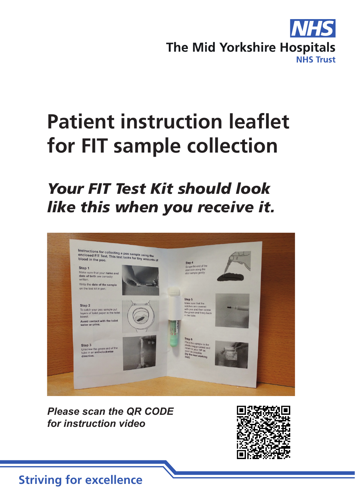

# **Patient instruction leaflet for FIT sample collection**

# *Your FIT Test Kit should look like this when you receive it.*



*Please scan the QR CODE for instruction video*



#### **Striving for excellence**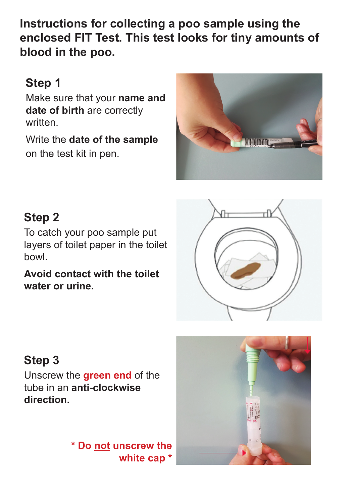**Instructions for collecting a poo sample using the enclosed FIT Test. This test looks for tiny amounts of blood in the poo.**

# **Step 1**

Make sure that your **name and date of birth** are correctly written.

Write the **date of the sample** on the test kit in pen.



### **Step 2**

To catch your poo sample put layers of toilet paper in the toilet bowl.

**Avoid contact with the toilet water or urine.**



# **Step 3**

Unscrew the **green end** of the tube in an **anti-clockwise direction.**

> **\* Do not unscrew the white cap \***